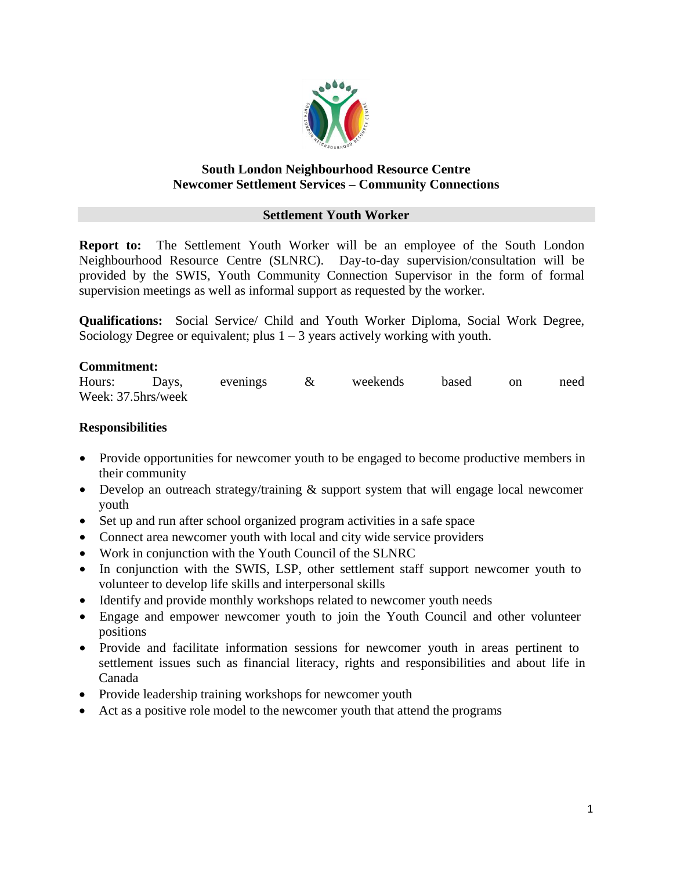

## **South London Neighbourhood Resource Centre Newcomer Settlement Services – Community Connections**

### **Settlement Youth Worker**

**Report to:** The Settlement Youth Worker will be an employee of the South London Neighbourhood Resource Centre (SLNRC). Day-to-day supervision/consultation will be provided by the SWIS, Youth Community Connection Supervisor in the form of formal supervision meetings as well as informal support as requested by the worker.

**Qualifications:** Social Service/ Child and Youth Worker Diploma, Social Work Degree, Sociology Degree or equivalent; plus  $1 - 3$  years actively working with youth.

#### **Commitment:**

| Hours:             | Days, | evenings | weekends | based | on | need |
|--------------------|-------|----------|----------|-------|----|------|
| Week: 37.5hrs/week |       |          |          |       |    |      |

### **Responsibilities**

- Provide opportunities for newcomer youth to be engaged to become productive members in their community
- Develop an outreach strategy/training & support system that will engage local newcomer youth
- Set up and run after school organized program activities in a safe space
- Connect area new comer youth with local and city wide service providers
- Work in conjunction with the Youth Council of the SLNRC
- In conjunction with the SWIS, LSP, other settlement staff support newcomer youth to volunteer to develop life skills and interpersonal skills
- Identify and provide monthly workshops related to newcomer youth needs
- Engage and empower newcomer youth to join the Youth Council and other volunteer positions
- Provide and facilitate information sessions for newcomer youth in areas pertinent to settlement issues such as financial literacy, rights and responsibilities and about life in Canada
- Provide leadership training workshops for newcomer youth
- Act as a positive role model to the newcomer youth that attend the programs